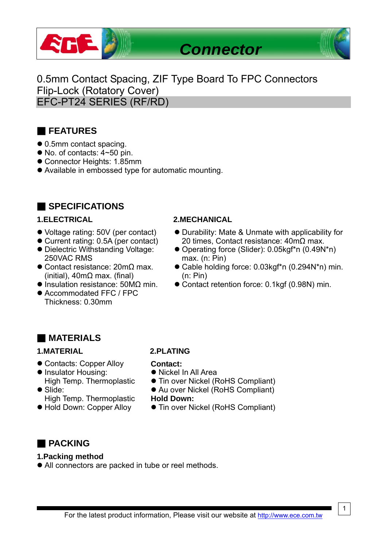

0.5mm Contact Spacing, ZIF Type Board To FPC Connectors Flip-Lock (Rotatory Cover) EFC-PT24 SERIES (RF/RD)

## ■ **FEATURES**

- 0.5mm contact spacing.
- $\bullet$  No. of contacts:  $4 \sim 50$  pin.
- Connector Heights: 1.85mm
- Available in embossed type for automatic mounting.

## ■ **SPECIFICATIONS**

- Voltage rating: 50V (per contact)
- Current rating: 0.5A (per contact)
- Dielectric Withstanding Voltage: 250VAC RMS
- $\bullet$  Contact resistance: 20mΩ max. (initial), 40mΩ max. (final)
- $\bullet$  Insulation resistance: 50M $\Omega$  min.
- Accommodated FFC / FPC Thickness: 0.30mm

### **1.ELECTRICAL 2.MECHANICAL**

- Durability: Mate & Unmate with applicability for 20 times, Contact resistance: 40mΩ max.
- Operating force (Slider): 0.05kgf\*n (0.49N\*n) max. (n: Pin)
- Cable holding force: 0.03kgf\*n (0.294N\*n) min. (n: Pin)
- $\bullet$  Contact retention force: 0.1kgf (0.98N) min.

## ■ **MATERIALS**

### **1.MATERIAL 2.PLATING**

- Contacts: Copper Alloy
- Insulator Housing: High Temp. Thermoplastic
- Slide: High Temp. Thermoplastic
- $\bullet$  Hold Down: Copper Alloy

#### **Contact:**

- Nickel In All Area
- **Tin over Nickel (RoHS Compliant)**
- Au over Nickel (RoHS Compliant)

### **Hold Down:**

● Tin over Nickel (RoHS Compliant)

## ■ **PACKING**

### **1.Packing method**

• All connectors are packed in tube or reel methods.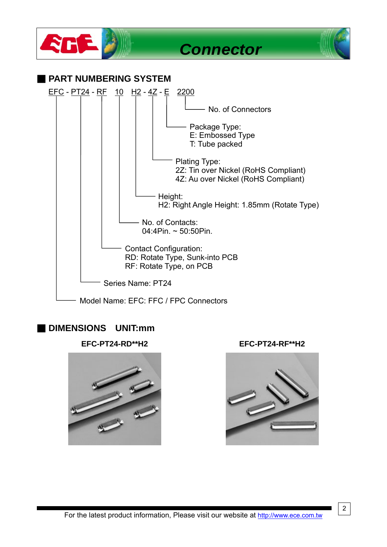

## ■ **DIMENSIONS UNIT:mm**







2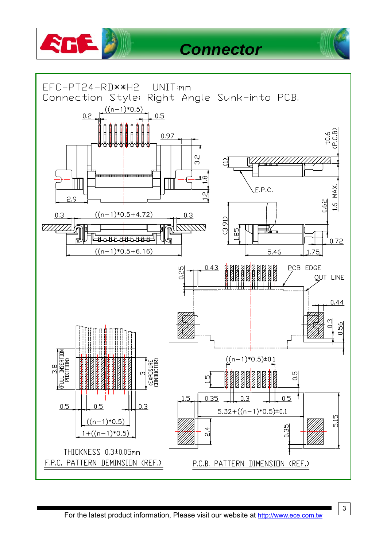

# *Connector*